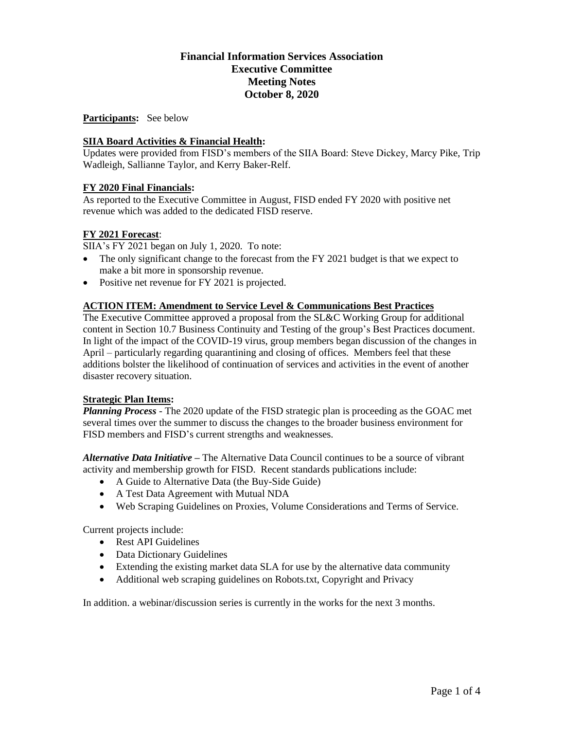# **Financial Information Services Association Executive Committee Meeting Notes October 8, 2020**

#### **Participants:** See below

### **SIIA Board Activities & Financial Health:**

Updates were provided from FISD's members of the SIIA Board: Steve Dickey, Marcy Pike, Trip Wadleigh, Sallianne Taylor, and Kerry Baker-Relf.

### **FY 2020 Final Financials:**

As reported to the Executive Committee in August, FISD ended FY 2020 with positive net revenue which was added to the dedicated FISD reserve.

### **FY 2021 Forecast**:

SIIA's FY 2021 began on July 1, 2020. To note:

- The only significant change to the forecast from the FY 2021 budget is that we expect to make a bit more in sponsorship revenue.
- Positive net revenue for FY 2021 is projected.

#### **ACTION ITEM: Amendment to Service Level & Communications Best Practices**

The Executive Committee approved a proposal from the SL&C Working Group for additional content in Section 10.7 Business Continuity and Testing of the group's Best Practices document. In light of the impact of the COVID-19 virus, group members began discussion of the changes in April – particularly regarding quarantining and closing of offices. Members feel that these additions bolster the likelihood of continuation of services and activities in the event of another disaster recovery situation.

#### **Strategic Plan Items:**

*Planning Process* - The 2020 update of the FISD strategic plan is proceeding as the GOAC met several times over the summer to discuss the changes to the broader business environment for FISD members and FISD's current strengths and weaknesses.

*Alternative Data Initiative –* The Alternative Data Council continues to be a source of vibrant activity and membership growth for FISD. Recent standards publications include:

- A Guide to Alternative Data (the Buy-Side Guide)
- A Test Data Agreement with Mutual NDA
- Web Scraping Guidelines on Proxies, Volume Considerations and Terms of Service.

Current projects include:

- Rest API Guidelines
- Data Dictionary Guidelines
- Extending the existing market data SLA for use by the alternative data community
- Additional web scraping guidelines on Robots.txt, Copyright and Privacy

In addition. a webinar/discussion series is currently in the works for the next 3 months.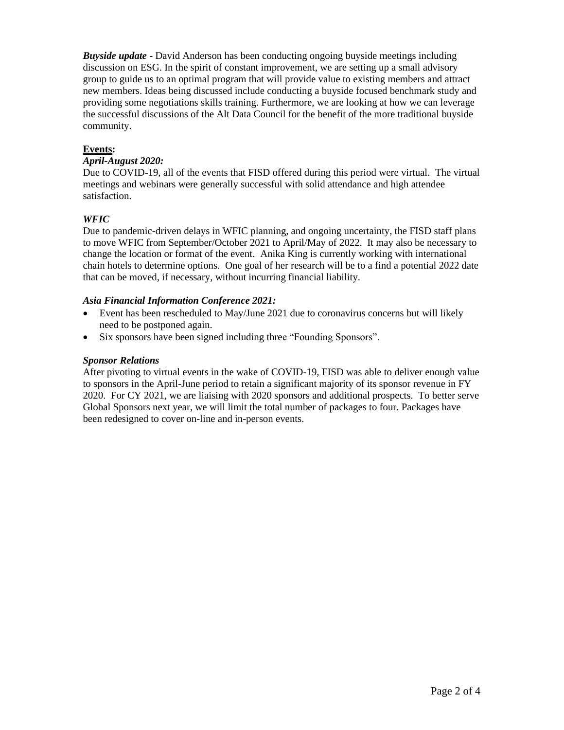*Buyside update* **-** David Anderson has been conducting ongoing buyside meetings including discussion on ESG. In the spirit of constant improvement, we are setting up a small advisory group to guide us to an optimal program that will provide value to existing members and attract new members. Ideas being discussed include conducting a buyside focused benchmark study and providing some negotiations skills training. Furthermore, we are looking at how we can leverage the successful discussions of the Alt Data Council for the benefit of the more traditional buyside community.

### **Events:**

### *April-August 2020:*

Due to COVID-19, all of the events that FISD offered during this period were virtual. The virtual meetings and webinars were generally successful with solid attendance and high attendee satisfaction.

### *WFIC*

Due to pandemic-driven delays in WFIC planning, and ongoing uncertainty, the FISD staff plans to move WFIC from September/October 2021 to April/May of 2022. It may also be necessary to change the location or format of the event. Anika King is currently working with international chain hotels to determine options. One goal of her research will be to a find a potential 2022 date that can be moved, if necessary, without incurring financial liability.

#### *Asia Financial Information Conference 2021:*

- Event has been rescheduled to May/June 2021 due to coronavirus concerns but will likely need to be postponed again.
- Six sponsors have been signed including three "Founding Sponsors".

### *Sponsor Relations*

After pivoting to virtual events in the wake of COVID-19, FISD was able to deliver enough value to sponsors in the April-June period to retain a significant majority of its sponsor revenue in FY 2020. For CY 2021, we are liaising with 2020 sponsors and additional prospects. To better serve Global Sponsors next year, we will limit the total number of packages to four. Packages have been redesigned to cover on-line and in-person events.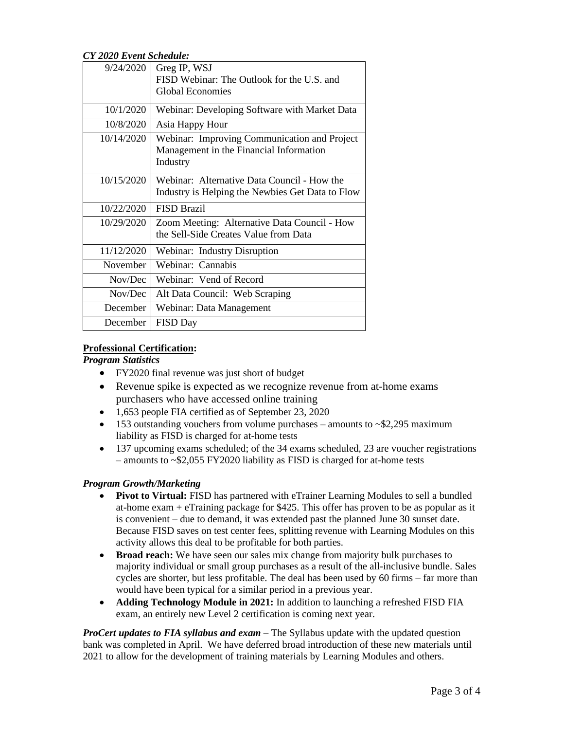*CY 2020 Event Schedule:*

| 9/24/2020  | Greg IP, WSJ<br>FISD Webinar: The Outlook for the U.S. and<br><b>Global Economies</b>               |
|------------|-----------------------------------------------------------------------------------------------------|
|            |                                                                                                     |
| 10/1/2020  | Webinar: Developing Software with Market Data                                                       |
| 10/8/2020  | Asia Happy Hour                                                                                     |
| 10/14/2020 | Webinar: Improving Communication and Project<br>Management in the Financial Information<br>Industry |
| 10/15/2020 | Webinar: Alternative Data Council - How the<br>Industry is Helping the Newbies Get Data to Flow     |
| 10/22/2020 | <b>FISD Brazil</b>                                                                                  |
| 10/29/2020 | Zoom Meeting: Alternative Data Council - How<br>the Sell-Side Creates Value from Data               |
| 11/12/2020 | Webinar: Industry Disruption                                                                        |
| November   | Webinar: Cannabis                                                                                   |
| Nov/Dec    | Webinar: Vend of Record                                                                             |
| Nov/Dec    | Alt Data Council: Web Scraping                                                                      |
| December   | Webinar: Data Management                                                                            |
| December   | <b>FISD Day</b>                                                                                     |
|            |                                                                                                     |

### **Professional Certification:**

*Program Statistics*

- FY2020 final revenue was just short of budget
- Revenue spike is expected as we recognize revenue from at-home exams purchasers who have accessed online training
- 1,653 people FIA certified as of September 23, 2020
- 153 outstanding vouchers from volume purchases amounts to  $\sim$ \$2,295 maximum liability as FISD is charged for at-home tests
- 137 upcoming exams scheduled; of the 34 exams scheduled, 23 are voucher registrations – amounts to ~\$2,055 FY2020 liability as FISD is charged for at-home tests

## *Program Growth/Marketing*

- **Pivot to Virtual:** FISD has partnered with eTrainer Learning Modules to sell a bundled at-home exam + eTraining package for \$425. This offer has proven to be as popular as it is convenient – due to demand, it was extended past the planned June 30 sunset date. Because FISD saves on test center fees, splitting revenue with Learning Modules on this activity allows this deal to be profitable for both parties.
- **Broad reach:** We have seen our sales mix change from majority bulk purchases to majority individual or small group purchases as a result of the all-inclusive bundle. Sales cycles are shorter, but less profitable. The deal has been used by 60 firms – far more than would have been typical for a similar period in a previous year.
- **Adding Technology Module in 2021:** In addition to launching a refreshed FISD FIA exam, an entirely new Level 2 certification is coming next year.

*ProCert updates to FIA syllabus and exam* **–** The Syllabus update with the updated question bank was completed in April. We have deferred broad introduction of these new materials until 2021 to allow for the development of training materials by Learning Modules and others.